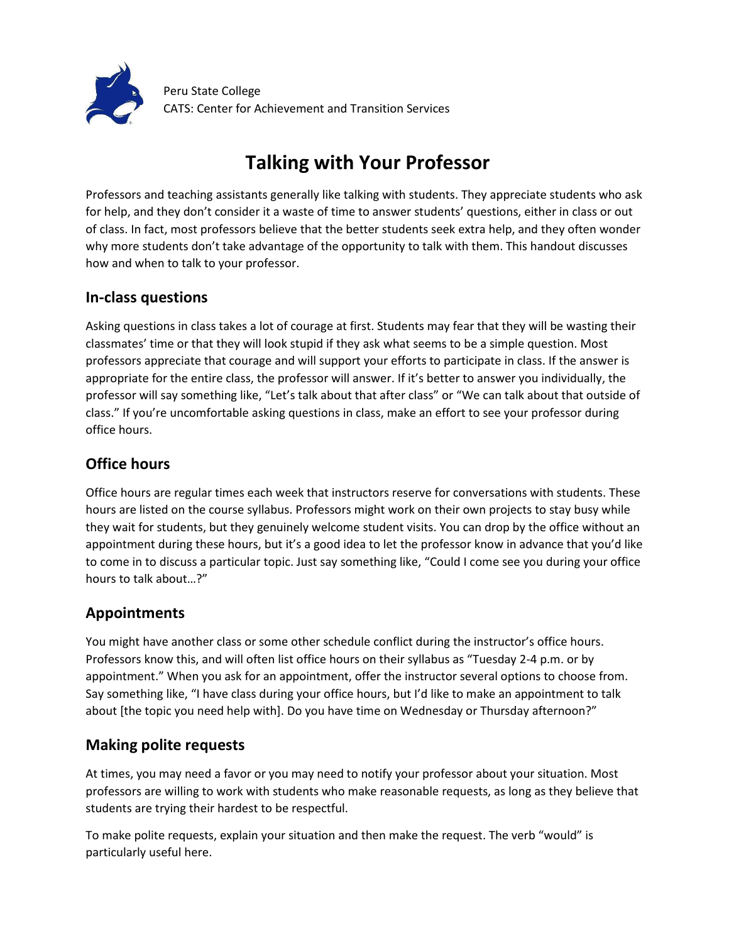

Peru State College CATS: Center for Achievement and Transition Services

# **Talking with Your Professor**

Professors and teaching assistants generally like talking with students. They appreciate students who ask for help, and they don't consider it a waste of time to answer students' questions, either in class or out of class. In fact, most professors believe that the better students seek extra help, and they often wonder why more students don't take advantage of the opportunity to talk with them. This handout discusses how and when to talk to your professor.

### **In-class questions**

Asking questions in class takes a lot of courage at first. Students may fear that they will be wasting their classmates' time or that they will look stupid if they ask what seems to be a simple question. Most professors appreciate that courage and will support your efforts to participate in class. If the answer is appropriate for the entire class, the professor will answer. If it's better to answer you individually, the professor will say something like, "Let's talk about that after class" or "We can talk about that outside of class." If you're uncomfortable asking questions in class, make an effort to see your professor during office hours.

## **Office hours**

Office hours are regular times each week that instructors reserve for conversations with students. These hours are listed on the course syllabus. Professors might work on their own projects to stay busy while they wait for students, but they genuinely welcome student visits. You can drop by the office without an appointment during these hours, but it's a good idea to let the professor know in advance that you'd like to come in to discuss a particular topic. Just say something like, "Could I come see you during your office hours to talk about…?"

#### **Appointments**

You might have another class or some other schedule conflict during the instructor's office hours. Professors know this, and will often list office hours on their syllabus as "Tuesday 2-4 p.m. or by appointment." When you ask for an appointment, offer the instructor several options to choose from. Say something like, "I have class during your office hours, but I'd like to make an appointment to talk about [the topic you need help with]. Do you have time on Wednesday or Thursday afternoon?"

## **Making polite requests**

At times, you may need a favor or you may need to notify your professor about your situation. Most professors are willing to work with students who make reasonable requests, as long as they believe that students are trying their hardest to be respectful.

To make polite requests, explain your situation and then make the request. The verb "would" is particularly useful here.